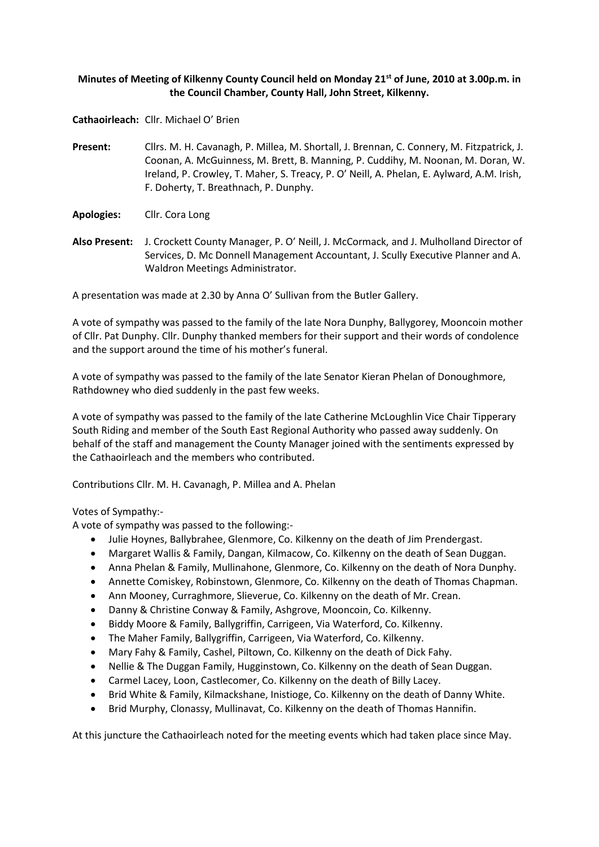# **Minutes of Meeting of Kilkenny County Council held on Monday 21st of June, 2010 at 3.00p.m. in the Council Chamber, County Hall, John Street, Kilkenny.**

**Cathaoirleach:** Cllr. Michael O' Brien

- **Present:** Cllrs. M. H. Cavanagh, P. Millea, M. Shortall, J. Brennan, C. Connery, M. Fitzpatrick, J. Coonan, A. McGuinness, M. Brett, B. Manning, P. Cuddihy, M. Noonan, M. Doran, W. Ireland, P. Crowley, T. Maher, S. Treacy, P. O' Neill, A. Phelan, E. Aylward, A.M. Irish, F. Doherty, T. Breathnach, P. Dunphy.
- **Apologies:** Cllr. Cora Long
- **Also Present:** J. Crockett County Manager, P. O' Neill, J. McCormack, and J. Mulholland Director of Services, D. Mc Donnell Management Accountant, J. Scully Executive Planner and A. Waldron Meetings Administrator.

A presentation was made at 2.30 by Anna O' Sullivan from the Butler Gallery.

A vote of sympathy was passed to the family of the late Nora Dunphy, Ballygorey, Mooncoin mother of Cllr. Pat Dunphy. Cllr. Dunphy thanked members for their support and their words of condolence and the support around the time of his mother's funeral.

A vote of sympathy was passed to the family of the late Senator Kieran Phelan of Donoughmore, Rathdowney who died suddenly in the past few weeks.

A vote of sympathy was passed to the family of the late Catherine McLoughlin Vice Chair Tipperary South Riding and member of the South East Regional Authority who passed away suddenly. On behalf of the staff and management the County Manager joined with the sentiments expressed by the Cathaoirleach and the members who contributed.

Contributions Cllr. M. H. Cavanagh, P. Millea and A. Phelan

### Votes of Sympathy:-

A vote of sympathy was passed to the following:-

- Julie Hoynes, Ballybrahee, Glenmore, Co. Kilkenny on the death of Jim Prendergast.
- Margaret Wallis & Family, Dangan, Kilmacow, Co. Kilkenny on the death of Sean Duggan.
- Anna Phelan & Family, Mullinahone, Glenmore, Co. Kilkenny on the death of Nora Dunphy.
- Annette Comiskey, Robinstown, Glenmore, Co. Kilkenny on the death of Thomas Chapman.
- Ann Mooney, Curraghmore, Slieverue, Co. Kilkenny on the death of Mr. Crean.
- Danny & Christine Conway & Family, Ashgrove, Mooncoin, Co. Kilkenny.
- Biddy Moore & Family, Ballygriffin, Carrigeen, Via Waterford, Co. Kilkenny.
- The Maher Family, Ballygriffin, Carrigeen, Via Waterford, Co. Kilkenny.
- Mary Fahy & Family, Cashel, Piltown, Co. Kilkenny on the death of Dick Fahy.
- Nellie & The Duggan Family, Hugginstown, Co. Kilkenny on the death of Sean Duggan.
- Carmel Lacey, Loon, Castlecomer, Co. Kilkenny on the death of Billy Lacey.
- Brid White & Family, Kilmackshane, Inistioge, Co. Kilkenny on the death of Danny White.
- Brid Murphy, Clonassy, Mullinavat, Co. Kilkenny on the death of Thomas Hannifin.

At this juncture the Cathaoirleach noted for the meeting events which had taken place since May.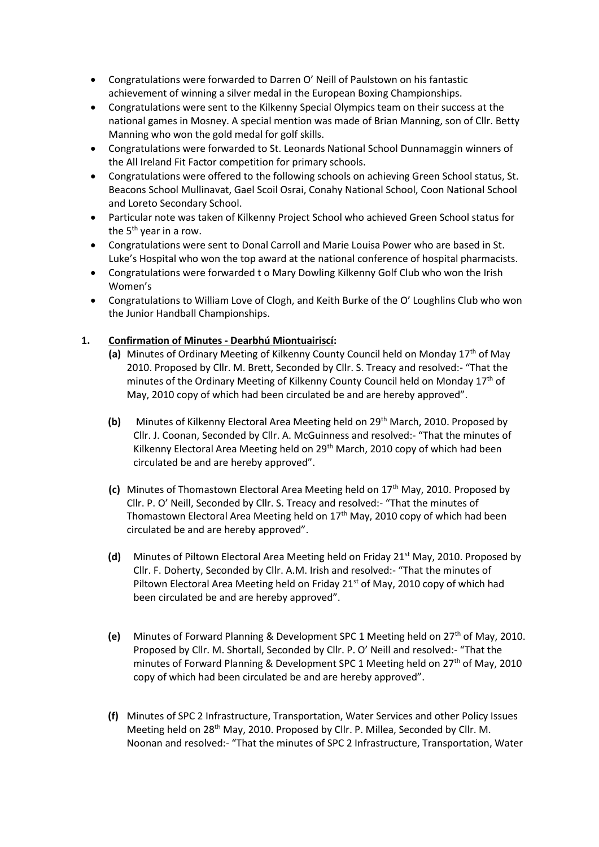- Congratulations were forwarded to Darren O' Neill of Paulstown on his fantastic achievement of winning a silver medal in the European Boxing Championships.
- Congratulations were sent to the Kilkenny Special Olympics team on their success at the national games in Mosney. A special mention was made of Brian Manning, son of Cllr. Betty Manning who won the gold medal for golf skills.
- Congratulations were forwarded to St. Leonards National School Dunnamaggin winners of the All Ireland Fit Factor competition for primary schools.
- Congratulations were offered to the following schools on achieving Green School status, St. Beacons School Mullinavat, Gael Scoil Osrai, Conahy National School, Coon National School and Loreto Secondary School.
- Particular note was taken of Kilkenny Project School who achieved Green School status for the 5<sup>th</sup> year in a row.
- Congratulations were sent to Donal Carroll and Marie Louisa Power who are based in St. Luke's Hospital who won the top award at the national conference of hospital pharmacists.
- Congratulations were forwarded t o Mary Dowling Kilkenny Golf Club who won the Irish Women's
- Congratulations to William Love of Clogh, and Keith Burke of the O' Loughlins Club who won the Junior Handball Championships.

# **1. Confirmation of Minutes - Dearbhú Miontuairiscí:**

- **(a)** Minutes of Ordinary Meeting of Kilkenny County Council held on Monday 17th of May 2010. Proposed by Cllr. M. Brett, Seconded by Cllr. S. Treacy and resolved:- "That the minutes of the Ordinary Meeting of Kilkenny County Council held on Monday 17<sup>th</sup> of May, 2010 copy of which had been circulated be and are hereby approved".
- **(b)** Minutes of Kilkenny Electoral Area Meeting held on 29<sup>th</sup> March, 2010. Proposed by Cllr. J. Coonan, Seconded by Cllr. A. McGuinness and resolved:- "That the minutes of Kilkenny Electoral Area Meeting held on  $29<sup>th</sup>$  March, 2010 copy of which had been circulated be and are hereby approved".
- **(c)** Minutes of Thomastown Electoral Area Meeting held on 17th May, 2010. Proposed by Cllr. P. O' Neill, Seconded by Cllr. S. Treacy and resolved:- "That the minutes of Thomastown Electoral Area Meeting held on  $17<sup>th</sup>$  May, 2010 copy of which had been circulated be and are hereby approved".
- **(d)** Minutes of Piltown Electoral Area Meeting held on Friday 21st May, 2010. Proposed by Cllr. F. Doherty, Seconded by Cllr. A.M. Irish and resolved:- "That the minutes of Piltown Electoral Area Meeting held on Friday  $21<sup>st</sup>$  of May, 2010 copy of which had been circulated be and are hereby approved".
- **(e)** Minutes of Forward Planning & Development SPC 1 Meeting held on 27th of May, 2010. Proposed by Cllr. M. Shortall, Seconded by Cllr. P. O' Neill and resolved:- "That the minutes of Forward Planning & Development SPC 1 Meeting held on 27<sup>th</sup> of May, 2010 copy of which had been circulated be and are hereby approved".
- **(f)** Minutes of SPC 2 Infrastructure, Transportation, Water Services and other Policy Issues Meeting held on 28<sup>th</sup> May, 2010. Proposed by Cllr. P. Millea, Seconded by Cllr. M. Noonan and resolved:- "That the minutes of SPC 2 Infrastructure, Transportation, Water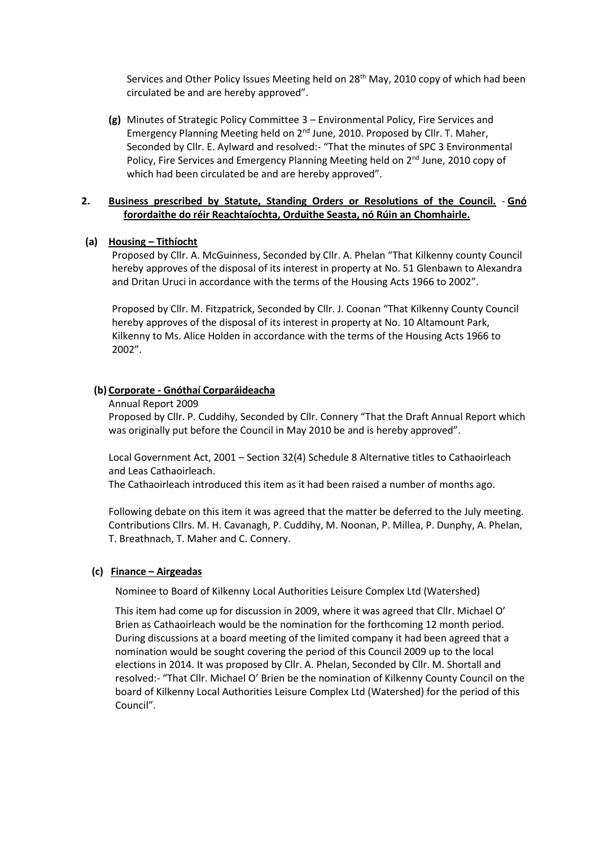Services and Other Policy Issues Meeting held on 28<sup>th</sup> May, 2010 copy of which had been circulated be and are hereby approved".

**(g)** Minutes of Strategic Policy Committee 3 – Environmental Policy, Fire Services and Emergency Planning Meeting held on 2<sup>nd</sup> June, 2010. Proposed by Cllr. T. Maher, Seconded by Cllr. E. Aylward and resolved:- "That the minutes of SPC 3 Environmental Policy, Fire Services and Emergency Planning Meeting held on 2<sup>nd</sup> June, 2010 copy of which had been circulated be and are hereby approved".

### **2. Business prescribed by Statute, Standing Orders or Resolutions of the Council.** - **Gnó forordaithe do réir Reachtaíochta, Orduithe Seasta, nó Rúin an Chomhairle.**

### **(a) Housing – Tithíocht**

Proposed by Cllr. A. McGuinness, Seconded by Cllr. A. Phelan "That Kilkenny county Council hereby approves of the disposal of its interest in property at No. 51 Glenbawn to Alexandra and Dritan Uruci in accordance with the terms of the Housing Acts 1966 to 2002".

Proposed by Cllr. M. Fitzpatrick, Seconded by Cllr. J. Coonan "That Kilkenny County Council hereby approves of the disposal of its interest in property at No. 10 Altamount Park, Kilkenny to Ms. Alice Holden in accordance with the terms of the Housing Acts 1966 to 2002".

### **(b) Corporate - Gnóthaí Corparáideacha**

Annual Report 2009

Proposed by Cllr. P. Cuddihy, Seconded by Cllr. Connery "That the Draft Annual Report which was originally put before the Council in May 2010 be and is hereby approved".

Local Government Act, 2001 – Section 32(4) Schedule 8 Alternative titles to Cathaoirleach and Leas Cathaoirleach.

The Cathaoirleach introduced this item as it had been raised a number of months ago.

Following debate on this item it was agreed that the matter be deferred to the July meeting. Contributions Cllrs. M. H. Cavanagh, P. Cuddihy, M. Noonan, P. Millea, P. Dunphy, A. Phelan, T. Breathnach, T. Maher and C. Connery.

#### **(c) Finance – Airgeadas**

Nominee to Board of Kilkenny Local Authorities Leisure Complex Ltd (Watershed)

This item had come up for discussion in 2009, where it was agreed that Cllr. Michael O' Brien as Cathaoirleach would be the nomination for the forthcoming 12 month period. During discussions at a board meeting of the limited company it had been agreed that a nomination would be sought covering the period of this Council 2009 up to the local elections in 2014. It was proposed by Cllr. A. Phelan, Seconded by Cllr. M. Shortall and resolved:- "That Cllr. Michael O' Brien be the nomination of Kilkenny County Council on the board of Kilkenny Local Authorities Leisure Complex Ltd (Watershed) for the period of this Council".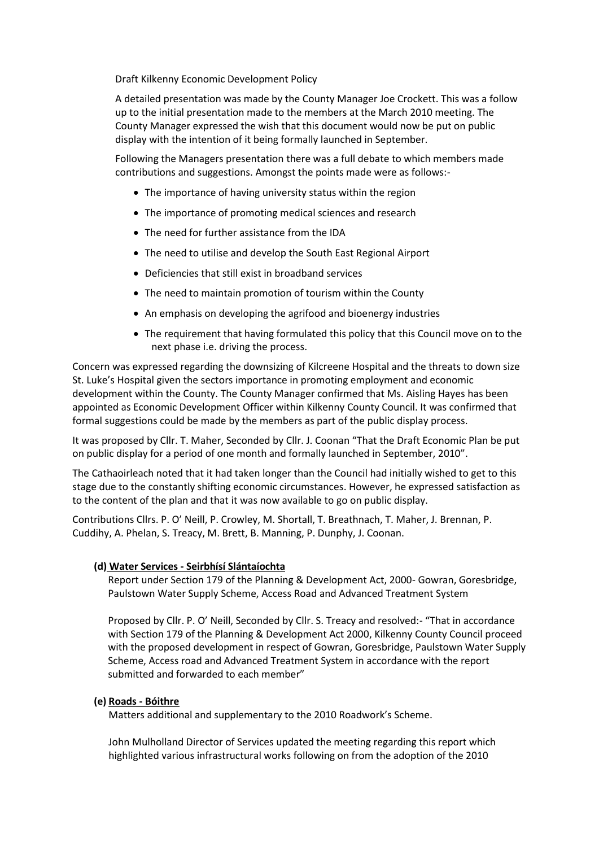Draft Kilkenny Economic Development Policy

A detailed presentation was made by the County Manager Joe Crockett. This was a follow up to the initial presentation made to the members at the March 2010 meeting. The County Manager expressed the wish that this document would now be put on public display with the intention of it being formally launched in September.

Following the Managers presentation there was a full debate to which members made contributions and suggestions. Amongst the points made were as follows:-

- The importance of having university status within the region
- The importance of promoting medical sciences and research
- The need for further assistance from the IDA
- The need to utilise and develop the South East Regional Airport
- Deficiencies that still exist in broadband services
- The need to maintain promotion of tourism within the County
- An emphasis on developing the agrifood and bioenergy industries
- The requirement that having formulated this policy that this Council move on to the next phase i.e. driving the process.

Concern was expressed regarding the downsizing of Kilcreene Hospital and the threats to down size St. Luke's Hospital given the sectors importance in promoting employment and economic development within the County. The County Manager confirmed that Ms. Aisling Hayes has been appointed as Economic Development Officer within Kilkenny County Council. It was confirmed that formal suggestions could be made by the members as part of the public display process.

It was proposed by Cllr. T. Maher, Seconded by Cllr. J. Coonan "That the Draft Economic Plan be put on public display for a period of one month and formally launched in September, 2010".

The Cathaoirleach noted that it had taken longer than the Council had initially wished to get to this stage due to the constantly shifting economic circumstances. However, he expressed satisfaction as to the content of the plan and that it was now available to go on public display.

Contributions Cllrs. P. O' Neill, P. Crowley, M. Shortall, T. Breathnach, T. Maher, J. Brennan, P. Cuddihy, A. Phelan, S. Treacy, M. Brett, B. Manning, P. Dunphy, J. Coonan.

### **(d) Water Services - Seirbhísí Slántaíochta**

Report under Section 179 of the Planning & Development Act, 2000- Gowran, Goresbridge, Paulstown Water Supply Scheme, Access Road and Advanced Treatment System

Proposed by Cllr. P. O' Neill, Seconded by Cllr. S. Treacy and resolved:- "That in accordance with Section 179 of the Planning & Development Act 2000, Kilkenny County Council proceed with the proposed development in respect of Gowran, Goresbridge, Paulstown Water Supply Scheme, Access road and Advanced Treatment System in accordance with the report submitted and forwarded to each member"

#### **(e) Roads - Bóithre**

Matters additional and supplementary to the 2010 Roadwork's Scheme.

John Mulholland Director of Services updated the meeting regarding this report which highlighted various infrastructural works following on from the adoption of the 2010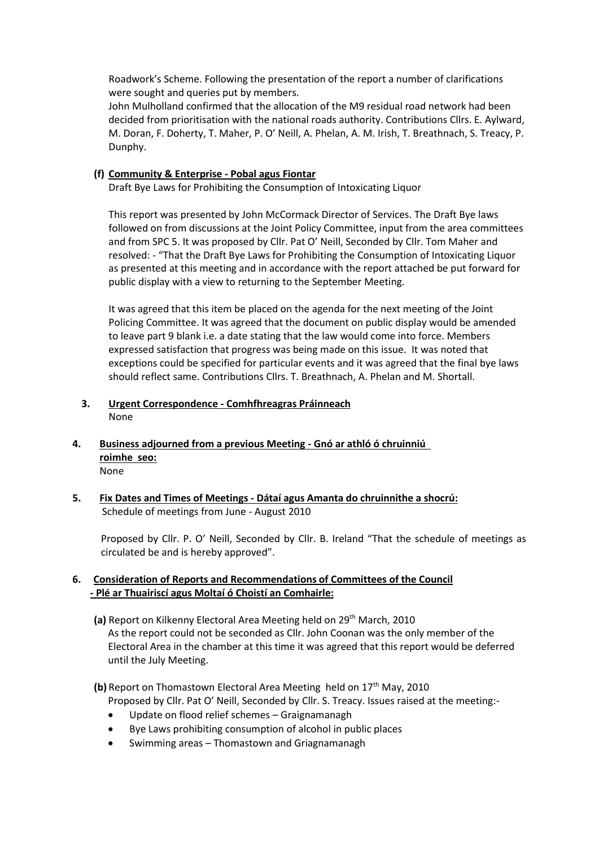Roadwork's Scheme. Following the presentation of the report a number of clarifications were sought and queries put by members.

John Mulholland confirmed that the allocation of the M9 residual road network had been decided from prioritisation with the national roads authority. Contributions Cllrs. E. Aylward, M. Doran, F. Doherty, T. Maher, P. O' Neill, A. Phelan, A. M. Irish, T. Breathnach, S. Treacy, P. Dunphy.

### **(f) Community & Enterprise - Pobal agus Fiontar**

Draft Bye Laws for Prohibiting the Consumption of Intoxicating Liquor

This report was presented by John McCormack Director of Services. The Draft Bye laws followed on from discussions at the Joint Policy Committee, input from the area committees and from SPC 5. It was proposed by Cllr. Pat O' Neill, Seconded by Cllr. Tom Maher and resolved: - "That the Draft Bye Laws for Prohibiting the Consumption of Intoxicating Liquor as presented at this meeting and in accordance with the report attached be put forward for public display with a view to returning to the September Meeting.

It was agreed that this item be placed on the agenda for the next meeting of the Joint Policing Committee. It was agreed that the document on public display would be amended to leave part 9 blank i.e. a date stating that the law would come into force. Members expressed satisfaction that progress was being made on this issue. It was noted that exceptions could be specified for particular events and it was agreed that the final bye laws should reflect same. Contributions Cllrs. T. Breathnach, A. Phelan and M. Shortall.

- **3. Urgent Correspondence - Comhfhreagras Práinneach** None
- **4. Business adjourned from a previous Meeting - Gnó ar athló ó chruinniú roimhe seo:** None
- **5. Fix Dates and Times of Meetings - Dátaí agus Amanta do chruinnithe a shocrú:** Schedule of meetings from June - August 2010

Proposed by Cllr. P. O' Neill, Seconded by Cllr. B. Ireland "That the schedule of meetings as circulated be and is hereby approved".

# **6. Consideration of Reports and Recommendations of Committees of the Council - Plé ar Thuairiscí agus Moltaí ó Choistí an Comhairle:**

- **(a)** Report on Kilkenny Electoral Area Meeting held on 29th March, 2010 As the report could not be seconded as Cllr. John Coonan was the only member of the Electoral Area in the chamber at this time it was agreed that this report would be deferred until the July Meeting.
- **(b)** Report on Thomastown Electoral Area Meeting held on 17<sup>th</sup> May, 2010 Proposed by Cllr. Pat O' Neill, Seconded by Cllr. S. Treacy. Issues raised at the meeting:-
	- Update on flood relief schemes Graignamanagh
	- Bye Laws prohibiting consumption of alcohol in public places
	- Swimming areas Thomastown and Griagnamanagh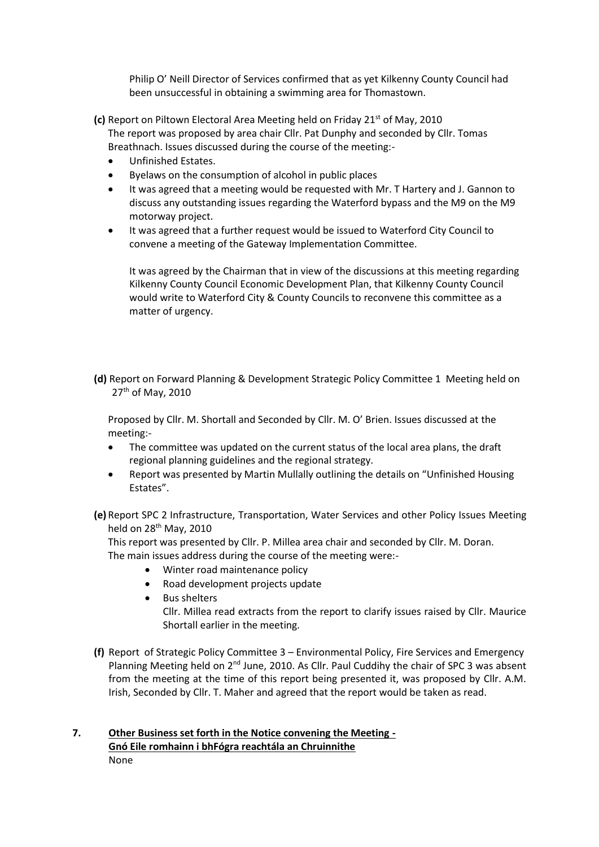Philip O' Neill Director of Services confirmed that as yet Kilkenny County Council had been unsuccessful in obtaining a swimming area for Thomastown.

- **(c)** Report on Piltown Electoral Area Meeting held on Friday 21st of May, 2010 The report was proposed by area chair Cllr. Pat Dunphy and seconded by Cllr. Tomas Breathnach. Issues discussed during the course of the meeting:-
	- Unfinished Estates.
	- Byelaws on the consumption of alcohol in public places
	- It was agreed that a meeting would be requested with Mr. T Hartery and J. Gannon to discuss any outstanding issues regarding the Waterford bypass and the M9 on the M9 motorway project.
	- It was agreed that a further request would be issued to Waterford City Council to convene a meeting of the Gateway Implementation Committee.

It was agreed by the Chairman that in view of the discussions at this meeting regarding Kilkenny County Council Economic Development Plan, that Kilkenny County Council would write to Waterford City & County Councils to reconvene this committee as a matter of urgency.

**(d)** Report on Forward Planning & Development Strategic Policy Committee 1 Meeting held on 27<sup>th</sup> of May, 2010

Proposed by Cllr. M. Shortall and Seconded by Cllr. M. O' Brien. Issues discussed at the meeting:-

- The committee was updated on the current status of the local area plans, the draft regional planning guidelines and the regional strategy.
- Report was presented by Martin Mullally outlining the details on "Unfinished Housing Estates".
- **(e)** Report SPC 2 Infrastructure, Transportation, Water Services and other Policy Issues Meeting held on  $28<sup>th</sup>$  May, 2010

This report was presented by Cllr. P. Millea area chair and seconded by Cllr. M. Doran. The main issues address during the course of the meeting were:-

- Winter road maintenance policy
- Road development projects update
- Bus shelters Cllr. Millea read extracts from the report to clarify issues raised by Cllr. Maurice Shortall earlier in the meeting.
- **(f)** Report of Strategic Policy Committee 3 Environmental Policy, Fire Services and Emergency Planning Meeting held on 2<sup>nd</sup> June, 2010. As Cllr. Paul Cuddihy the chair of SPC 3 was absent from the meeting at the time of this report being presented it, was proposed by Cllr. A.M. Irish, Seconded by Cllr. T. Maher and agreed that the report would be taken as read.

# **7. Other Business set forth in the Notice convening the Meeting - Gnó Eile romhainn i bhFógra reachtála an Chruinnithe** None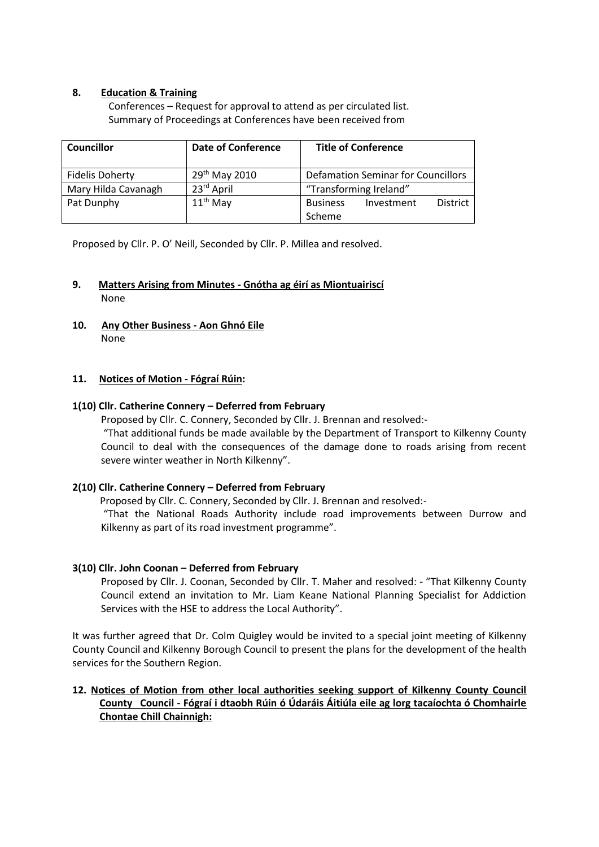# **8. Education & Training**

Conferences – Request for approval to attend as per circulated list. Summary of Proceedings at Conferences have been received from

| <b>Councillor</b>      | <b>Date of Conference</b> | <b>Title of Conference</b>                       |
|------------------------|---------------------------|--------------------------------------------------|
| <b>Fidelis Doherty</b> | 29 <sup>th</sup> May 2010 | <b>Defamation Seminar for Councillors</b>        |
| Mary Hilda Cavanagh    | 23rd April                | "Transforming Ireland"                           |
| Pat Dunphy             | $11th$ May                | <b>Business</b><br><b>District</b><br>Investment |
|                        |                           | Scheme                                           |

Proposed by Cllr. P. O' Neill, Seconded by Cllr. P. Millea and resolved.

# **9. Matters Arising from Minutes - Gnótha ag éirí as Miontuairiscí** None

**10. Any Other Business - Aon Ghnó Eile** None

# **11. Notices of Motion - Fógraí Rúin:**

# **1(10) Cllr. Catherine Connery – Deferred from February**

Proposed by Cllr. C. Connery, Seconded by Cllr. J. Brennan and resolved:-

"That additional funds be made available by the Department of Transport to Kilkenny County Council to deal with the consequences of the damage done to roads arising from recent severe winter weather in North Kilkenny".

### **2(10) Cllr. Catherine Connery – Deferred from February**

Proposed by Cllr. C. Connery, Seconded by Cllr. J. Brennan and resolved:-

"That the National Roads Authority include road improvements between Durrow and Kilkenny as part of its road investment programme".

# **3(10) Cllr. John Coonan – Deferred from February**

Proposed by Cllr. J. Coonan, Seconded by Cllr. T. Maher and resolved: - "That Kilkenny County Council extend an invitation to Mr. Liam Keane National Planning Specialist for Addiction Services with the HSE to address the Local Authority".

It was further agreed that Dr. Colm Quigley would be invited to a special joint meeting of Kilkenny County Council and Kilkenny Borough Council to present the plans for the development of the health services for the Southern Region.

# **12. Notices of Motion from other local authorities seeking support of Kilkenny County Council County Council - Fógraí i dtaobh Rúin ó Údaráis Áitiúla eile ag lorg tacaíochta ó Chomhairle Chontae Chill Chainnigh:**